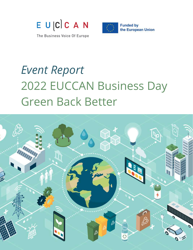

**Funded by** the European Union

The Business Voice Of Europe

## *Event Report* 2022 EUCCAN Business Day Green Back Better

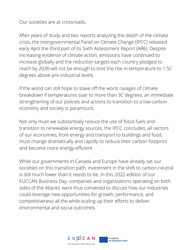Our societies are at crossroads.

After years of study and two reports analyzing the depth of the climate crisis, the Intergovernmental Panel on Climate Change (IPCC) released early April the third part of its [Sixth Assessment Report \(AR6\).](https://www.ipcc.ch/report/sixth-assessment-report-working-group-3/) Despite increasing evidence of climate action, emissions have continued to increase globally and the reduction targets each country pledged to reach by 2030 will not be enough to limit the rise in temperature to 1.5C degrees above pre-industrial levels.

If the world can still hope to stave off the worst ravages of climate breakdown if temperatures soar to more than 3C degrees, an immediate strengthening of our policies and actions to transition to a low-carbon economy and society is paramount.

Not only must we substantially reduce the use of fossil fuels and transition to renewable energy sources, the IPCC concludes; all sectors of our economies, from energy and transport to buildings and food, must change dramatically and rapidly to reduce their carbon footprint and become more energy-efficient.

While our governments in Canada and Europe have already set our societies on this transition path, investment in the shift to carbon-neutral is still much lower than it needs to be. In this 2022 edition of our EUCCAN Business Day, companies and organizations operating on both sides of the Atlantic were thus convened to discuss how our industries could leverage new opportunities for growth, performance, and competitiveness all the while scaling up their efforts to deliver environmental and social outcomes.

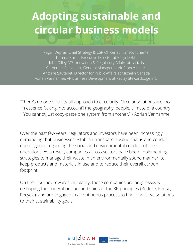#### **Adopting sustainable and circular business models**

Magali Depras, Chief Strategy & CSR Officer at Transcontinental Tamara Burns, Executive Director at Recycle B.C. John Dilley, VP Innovation & Regulatory Affairs at Lactalis Catherine Guillemart, General Manager at Air France / KLM Antoine Sautenet, Director for Public Affairs at Michelin Canada Adrian Vannahme, VP Business Development at Reclay StewardEdge Inc.

"There's no one-size-fits-all approach to circularity. Circular solutions are local in essence [taking into account] the geography, people, climate of a country. You cannot just copy-paste one system from another." - Adrian Vannahme

Over the past few years, regulators and investors have been increasingly demanding that businesses establish transparent value chains and conduct due diligence regarding the social and environmental conduct of their operations. As a result, companies across sectors have been implementing strategies to manage their waste in an environmentally sound manner, to keep products and materials in use and to reduce their overall carbon footprint.

On their journey towards circularity, these companies are progressively reshaping their operations around spins of the 3R principles (Reduce, Reuse, Recycle), and are engaged in a continuous process to find innovative solutions to their sustainability goals.



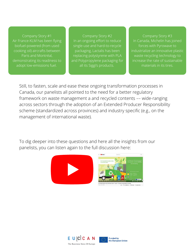Company Story #1 Air France-KLM has been flying biofuel-powered (from used cooking oil) aircrafts between Paris and Montréal, demonstrating its readiness to adopt low-emissions fuel.

Company Story #2 In an ongoing effort to reduce single-use and hard-to-recycle packaging, Lactalis has been replacing polystyrene with PLA and Polypropylene packaging for all its Siggi's products.

Company Story #3 In Canada, Michelin has joined forces with Pyrowave to industrialize an innovative plastic waste recycling technology to increase the rate of sustainable materials in its tires.

Still, to fasten, scale and ease these ongoing transformation processes in Canada, our panelists all pointed to the need for a better regulatory framework on waste management a and recycled contents –– wide-ranging across sectors through the adoption of an Extended Producer Responsibility scheme (standardized across provinces) and industry specific (e.g., on the management of international waste).

To dig deeper into these questions and here all the insights from our panelists, you can listen again to the full discussion here:





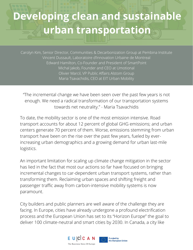#### **Developing clean and sustainable urban transportation**

Carolyn Kim, Senior Director, Communities & Decarbonization Group at Pembina Institute Vincent Dussault, Laboratoire d'Innovation Urbaine de Montreal Edward Hamilton, Co-Founder and President of SmartPoint Michal Jakob, Founder and CEO at Umotional Olivier Marcil, VP Public Affairs Alstom Group Maria Tsavachidis, CEO at EIT Urban Mobility

"The incremental change we have been seen over the past few years is not enough. We need a radical transformation of our transportation systems towards net neutrality." - Maria Tsavachidis

To date, the mobility sector is one of the most emission intensive. Road transport accounts for about 12 percent of global GHG emissions; and urban centers generate 70 percent of them. Worse, emissions stemming from urban transport have been on the rise over the past few years, fueled by everincreasing urban demographics and a growing demand for urban last-mile logistics.

An important limitation for scaling up climate change mitigation in the sector has lied in the fact that most our actions so far have focused on bringing incremental changes to car-dependent urban transport systems, rather than transforming them. Reclaiming urban spaces and shifting freight and passenger traffic away from carbon-intensive mobility systems is now paramount.

City builders and public planners are well aware of the challenge they are facing. In Europe, cities have already undergone a profound electrification process and the European Union has set to its "Horizon Europe" the goal to deliver 100 climate-neutral and smart cities by 2030. In Canada, a city like

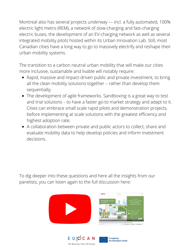Montreal also has several projects underway –– incl. a fully automated, 100% electric light metro (REM), a network of slow-charging and fast-charging electric buses, the development of an EV-charging network as well as several integrated mobility pilots hosted within its Urban Innovation Lab. Still, most Canadian cities have a long way to go to massively electrify and reshape their urban mobility systems.

The transition to a carbon neutral urban mobility that will make our cities more inclusive, sustainable and livable will notably require:

- Rapid, massive and impact-driven public and private investment, to bring all the clean mobility solutions together – rather than develop them sequentially;
- The development of agile frameworks. Sandboxing is a great way to test and trial solutions – to have a faster go-to market strategy and adapt to it. Cities can embrace small scale rapid pilots and demonstration projects, before implementing at scale solutions with the greatest efficiency and highest adoption rate;
- A collaboration between private and public actors to collect, share and evaluate mobility data to help develop policies and inform investment decisions.

To dig deeper into these questions and here all the insights from our panelists, you can listen again to the full discussion here:







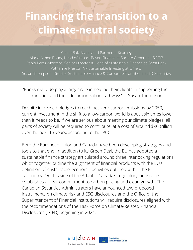### **Financing the transition to a climate-neutral society**

Celine Bak, Associated Partner at Kearney Marie-Aimee Boury, Head of Impact Based Finance at Societe Generale - SGCIB Pablo Perez-Montero, Senior Director & Head of Sustainable Finance at Caixa Bank Katharine Preston, VP Sustainable Investing at Omers Susan Thompson, Director Sustainable Finance & Corporate Transitions at TD Securities

"Banks really do play a larger role in helping their clients in supporting their transition and their decarbonization pathways". – Susan Thompson

Despite increased pledges to reach net-zero carbon emissions by 2050, current investment in the shift to a low-carbon world is about six times lower than it needs to be. If we are serious about meeting our climate pledges, all parts of society will be required to contribute, at a cost of around \$90 trillion over the next 15 years, according to the IPCC.

Both the European Union and Canada have been developing strategies and tools to that end. In addition to its Green Deal, the EU has adopted a sustainable finance strategy articulated around three interlocking regulations which together outline the alignment of financial products with the EU's definition of 'sustainable' economic activities outlined within the EU Taxonomy. On this side of the Atlantic, Canada's regulatory landscape establishes a clear commitment to carbon pricing and clean growth. The Canadian Securities Administrators have announced two proposed instruments on climate risk and ESG disclosures and the Office of the Superintendent of Financial Institutions will require disclosures aligned with the recommendations of the Task Force on Climate-Related Financial Disclosures (TCFD) beginning in 2024.

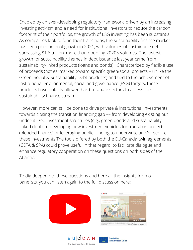Enabled by an ever-developing regulatory framework, driven by an increasing investing activism and a need for institutional investors to reduce the carbon footprint of their portfolios, the growth of ESG investing has been substantial. As companies look to fund their transitions, the sustainability finance market has seen phenomenal growth in 2021, with volumes of sustainable debt surpassing \$1.6 trillion, more than doubling 2020's volumes. The fastest growth for sustainability themes in debt issuance last year came from sustainability-linked products (loans and bonds). Characterized by flexible use of proceeds (not earmarked toward specific green/social projects – unlike the Green, Social & Sustainability Debt products) and tied to the achievement of institutional environmental, social and governance (ESG) targets, these products have notably allowed hard-to-abate sectors to access the sustainability finance stream.

However, more can still be done to drive private & institutional investments towards closing the transition financing gap –– from developing existing but underutilized investment structures (e.g., green bonds and sustainabilitylinked debt), to developing new investment vehicles for transition projects (blended finance) or leveraging public funding to underwrite and/or secure these investments.The tools offered by both the EU-Canada twin agreements (CETA & SPA) could prove useful in that regard, to facilitate dialogue and enhance regulatory cooperation on these questions on both sides of the Atlantic.

To dig deeper into these questions and here all the insights from our panelists, you can listen again to the full discussion here: